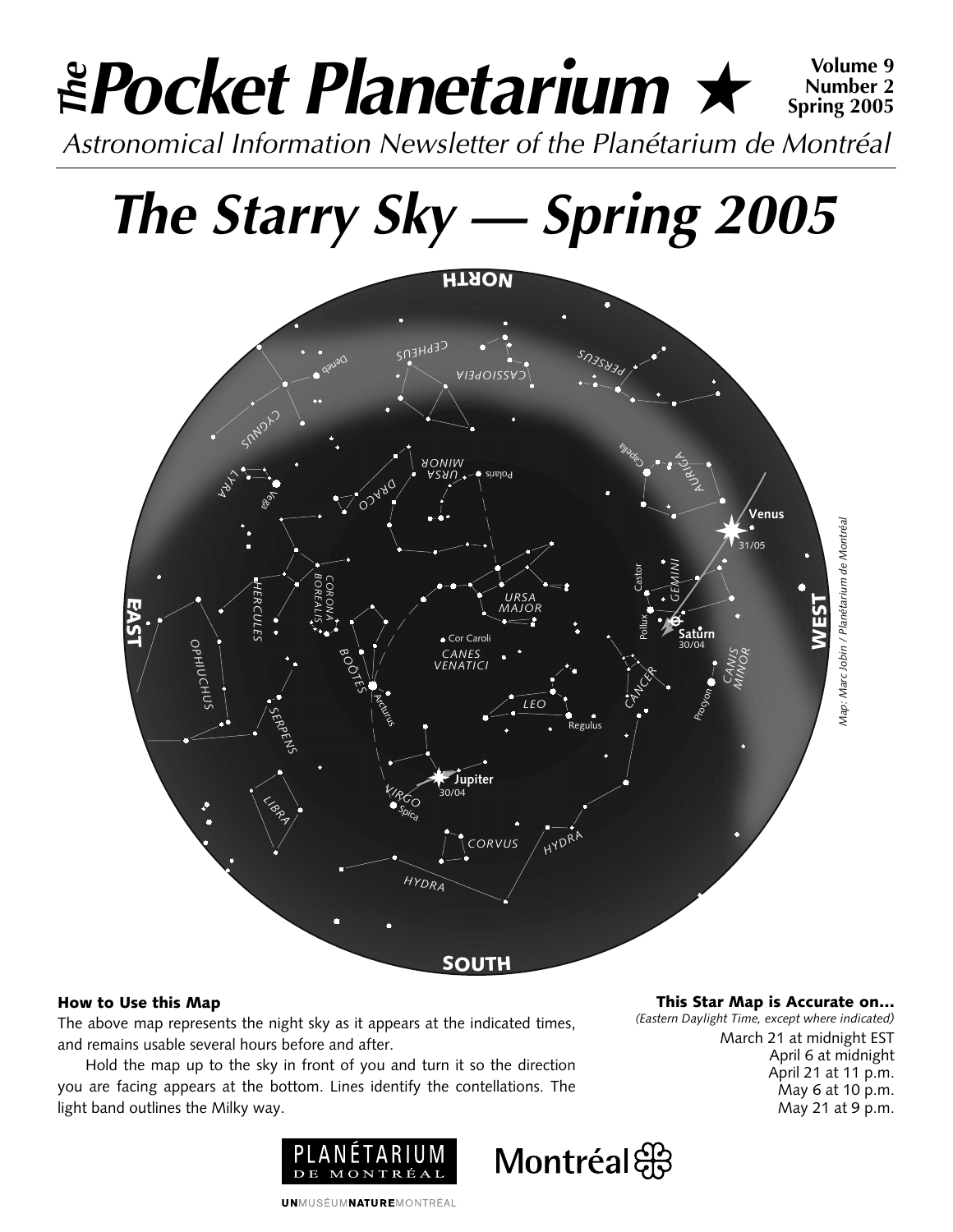## *Pocket Planetarium* ★ **Volume 9** *Astronomical Information Newsletter of the Planétarium de Montréal The* **Number 2 Spring 2005**

# *The Starry Sky — Spring 2005*



### **How to Use this Map**

The above map represents the night sky as it appears at the indicated times, and remains usable several hours before and after.

Hold the map up to the sky in front of you and turn it so the direction you are facing appears at the bottom. Lines identify the contellations. The light band outlines the Milky way.



**This Star Map is Accurate on…**

*(Eastern Daylight Time, except where indicated)* March 21 at midnight EST April 6 at midnight April 21 at 11 p.m. May 6 at 10 p.m. May 21 at 9 p.m.



**UNMUSÉUMNATUREMONTRÉAL**